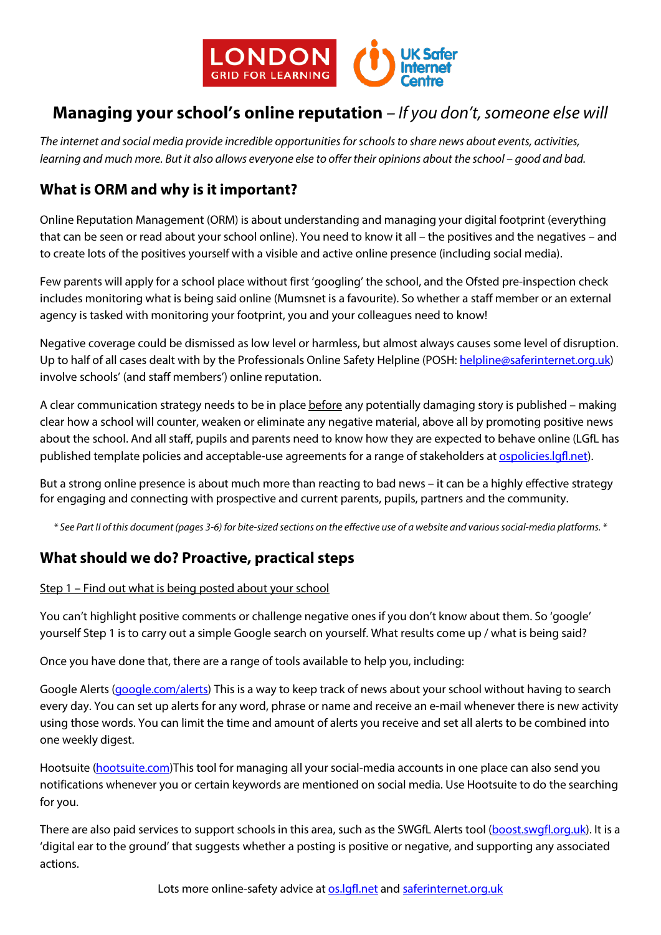

# **Managing your school's online reputation** *– If you don't, someone else will*

*The internet and social media provide incredible opportunities for schools to share news about events, activities, learning and much more. But it also allows everyone else to offer their opinions about the school – good and bad.*

# **What is ORM and why is it important?**

Online Reputation Management (ORM) is about understanding and managing your digital footprint (everything that can be seen or read about your school online). You need to know it all – the positives and the negatives – and to create lots of the positives yourself with a visible and active online presence (including social media).

Few parents will apply for a school place without first 'googling' the school, and the Ofsted pre-inspection check includes monitoring what is being said online (Mumsnet is a favourite). So whether a staff member or an external agency is tasked with monitoring your footprint, you and your colleagues need to know!

Negative coverage could be dismissed as low level or harmless, but almost always causes some level of disruption. Up to half of all cases dealt with by the Professionals Online Safety Helpline (POSH: [helpline@saferinternet.org.uk\)](mailto:helpline@saferinternet.org.uk) involve schools' (and staff members') online reputation.

A clear communication strategy needs to be in place before any potentially damaging story is published – making clear how a school will counter, weaken or eliminate any negative material, above all by promoting positive news about the school. And all staff, pupils and parents need to know how they are expected to behave online (LGfL has published template policies and acceptable-use agreements for a range of stakeholders at [ospolicies.lgfl.net\)](http://ospolicies.lgfl.net/).

But a strong online presence is about much more than reacting to bad news – it can be a highly effective strategy for engaging and connecting with prospective and current parents, pupils, partners and the community.

*\* See Part II of this document (pages 3-6) for bite-sized sections on the effective use of a website and various social-media platforms. \**

### **What should we do? Proactive, practical steps**

### Step 1 – Find out what is being posted about your school

You can't highlight positive comments or challenge negative ones if you don't know about them. So 'google' yourself Step 1 is to carry out a simple Google search on yourself. What results come up / what is being said?

Once you have done that, there are a range of tools available to help you, including:

Google Alerts [\(google.com/alerts\)](http://google.com/alerts) This is a way to keep track of news about your school without having to search every day. You can set up alerts for any word, phrase or name and receive an e-mail whenever there is new activity using those words. You can limit the time and amount of alerts you receive and set all alerts to be combined into one weekly digest.

Hootsuite [\(hootsuite.com\)](http://www.hootsuite.com/)This tool for managing all your social-media accounts in one place can also send you notifications whenever you or certain keywords are mentioned on social media. Use Hootsuite to do the searching for you.

There are also paid services to support schools in this area, such as the SWGfL Alerts tool [\(boost.swgfl.org.uk\)](http://boost.swgfl.org.uk/). It is a 'digital ear to the ground' that suggests whether a posting is positive or negative, and supporting any associated actions.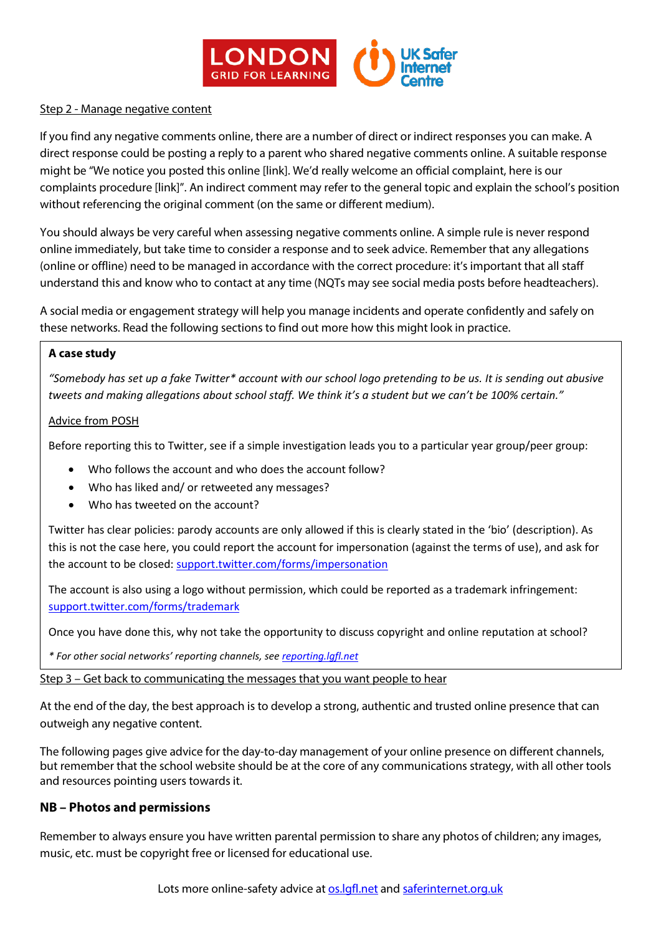

#### Step 2 - Manage negative content

If you find any negative comments online, there are a number of direct or indirect responses you can make. A direct response could be posting a reply to a parent who shared negative comments online. A suitable response might be "We notice you posted this online [link]. We'd really welcome an official complaint, here is our complaints procedure [link]". An indirect comment may refer to the general topic and explain the school's position without referencing the original comment (on the same or different medium).

You should always be very careful when assessing negative comments online. A simple rule is never respond online immediately, but take time to consider a response and to seek advice. Remember that any allegations (online or offline) need to be managed in accordance with the correct procedure: it's important that all staff understand this and know who to contact at any time (NQTs may see social media posts before headteachers).

A social media or engagement strategy will help you manage incidents and operate confidently and safely on these networks. Read the following sections to find out more how this might look in practice.

#### **A case study**

*"Somebody has set up a fake Twitter\* account with our school logo pretending to be us. It is sending out abusive tweets and making allegations about school staff. We think it's a student but we can't be 100% certain."*

#### Advice from POSH

Before reporting this to Twitter, see if a simple investigation leads you to a particular year group/peer group:

- Who follows the account and who does the account follow?
- Who has liked and/ or retweeted any messages?
- Who has tweeted on the account?

Twitter has clear policies: parody accounts are only allowed if this is clearly stated in the 'bio' (description). As this is not the case here, you could report the account for impersonation (against the terms of use), and ask for the account to be closed: [support.twitter.com/forms/impersonation](https://support.twitter.com/forms/impersonation)

The account is also using a logo without permission, which could be reported as a trademark infringement: [support.twitter.com/forms/trademark](https://support.twitter.com/forms/trademark)

Once you have done this, why not take the opportunity to discuss copyright and online reputation at school?

*\* For other social networks' reporting channels, see [reporting.lgfl.net](http://reporting.lgfl.net/)*

Step 3 – Get back to communicating the messages that you want people to hear

At the end of the day, the best approach is to develop a strong, authentic and trusted online presence that can outweigh any negative content.

The following pages give advice for the day-to-day management of your online presence on different channels, but remember that the school website should be at the core of any communications strategy, with all other tools and resources pointing users towards it.

### **NB – Photos and permissions**

Remember to always ensure you have written parental permission to share any photos of children; any images, music, etc. must be copyright free or licensed for educational use.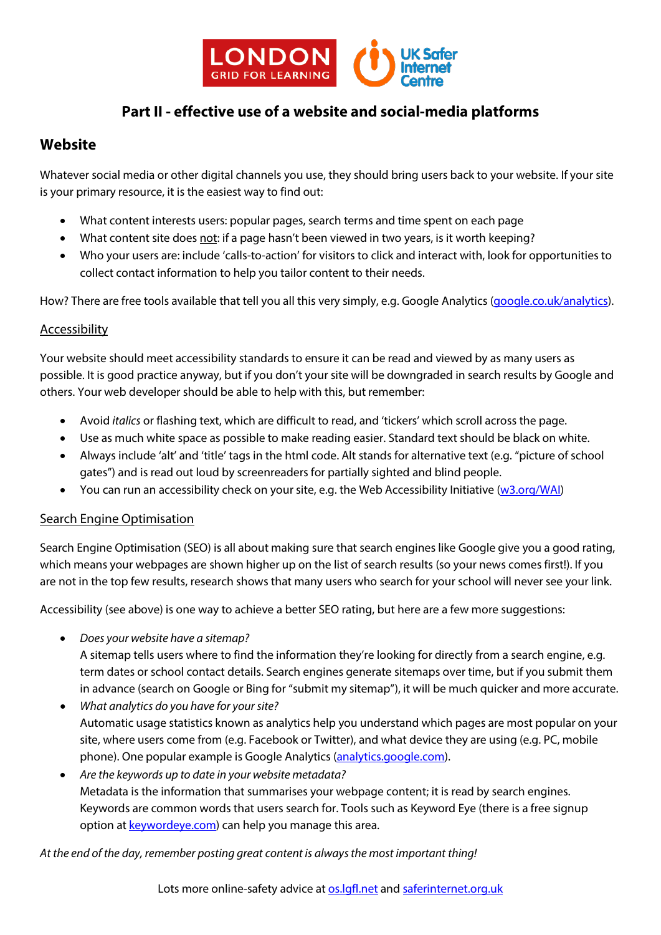

### **Part II - effective use of a website and social-media platforms**

### **Website**

Whatever social media or other digital channels you use, they should bring users back to your website. If your site is your primary resource, it is the easiest way to find out:

- What content interests users: popular pages, search terms and time spent on each page
- What content site does not: if a page hasn't been viewed in two years, is it worth keeping?
- Who your users are: include 'calls-to-action' for visitors to click and interact with, look for opportunities to collect contact information to help you tailor content to their needs.

How? There are free tools available that tell you all this very simply, e.g. Google Analytics [\(google.co.uk/analytics\)](https://www.google.co.uk/analytics).

### Accessibility

Your website should meet accessibility standards to ensure it can be read and viewed by as many users as possible. It is good practice anyway, but if you don't your site will be downgraded in search results by Google and others. Your web developer should be able to help with this, but remember:

- Avoid *italics* or flashing text, which are difficult to read, and 'tickers' which scroll across the page.
- Use as much white space as possible to make reading easier. Standard text should be black on white.
- Always include 'alt' and 'title' tags in the html code. Alt stands for alternative text (e.g. "picture of school gates") and is read out loud by screenreaders for partially sighted and blind people.
- You can run an accessibility check on your site, e.g. the Web Accessibility Initiative [\(w3.org/WAI\)](https://www.w3.org/WAI/)

### Search Engine Optimisation

Search Engine Optimisation (SEO) is all about making sure that search engines like Google give you a good rating, which means your webpages are shown higher up on the list of search results (so your news comes first!). If you are not in the top few results, research shows that many users who search for your school will never see your link.

Accessibility (see above) is one way to achieve a better SEO rating, but here are a few more suggestions:

• *Does your website have a sitemap?* 

A sitemap tells users where to find the information they're looking for directly from a search engine, e.g. term dates or school contact details. Search engines generate sitemaps over time, but if you submit them in advance (search on Google or Bing for "submit my sitemap"), it will be much quicker and more accurate.

- *What analytics do you have for your site?* Automatic usage statistics known as analytics help you understand which pages are most popular on your site, where users come from (e.g. Facebook or Twitter), and what device they are using (e.g. PC, mobile phone). One popular example is Google Analytics [\(analytics.google.com\)](https://analytics.google.com/).
- *Are the keywords up to date in your website metadata?*  Metadata is the information that summarises your webpage content; it is read by search engines. Keywords are common words that users search for. Tools such as Keyword Eye (there is a free signup option a[t keywordeye.com\)](http://www.keywordeye.com/) can help you manage this area.

*At the end of the day, remember posting great content is always the most important thing!*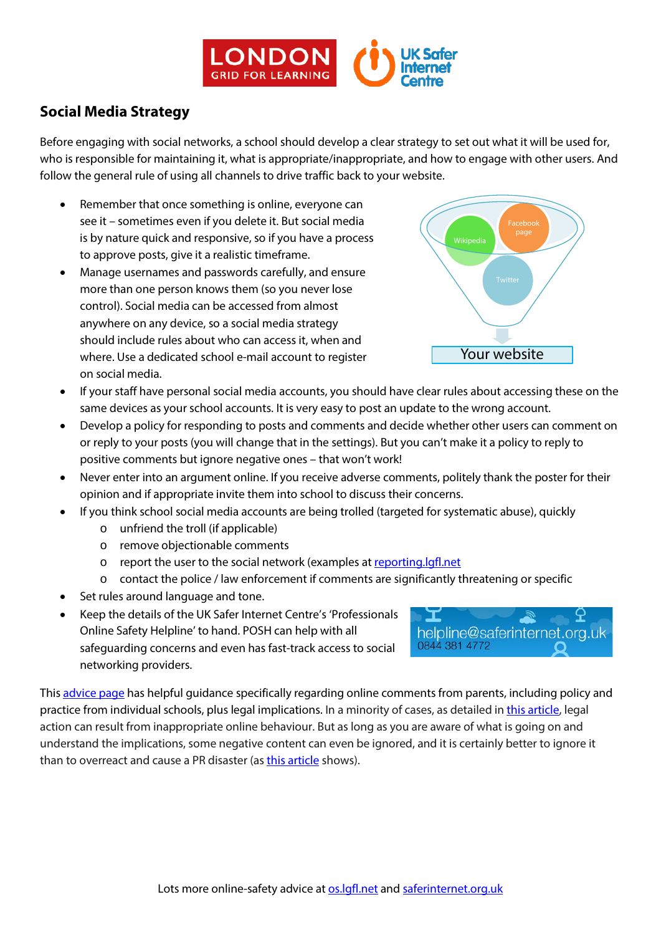

# **Social Media Strategy**

Before engaging with social networks, a school should develop a clear strategy to set out what it will be used for, who is responsible for maintaining it, what is appropriate/inappropriate, and how to engage with other users. And follow the general rule of using all channels to drive traffic back to your website.

- Remember that once something is online, everyone can see it – sometimes even if you delete it. But social media is by nature quick and responsive, so if you have a process to approve posts, give it a realistic timeframe.
- Manage usernames and passwords carefully, and ensure more than one person knows them (so you never lose control). Social media can be accessed from almost anywhere on any device, so a social media strategy should include rules about who can access it, when and where. Use a dedicated school e-mail account to register on social media.



- If your staff have personal social media accounts, you should have clear rules about accessing these on the same devices as your school accounts. It is very easy to post an update to the wrong account.
- Develop a policy for responding to posts and comments and decide whether other users can comment on or reply to your posts (you will change that in the settings). But you can't make it a policy to reply to positive comments but ignore negative ones – that won't work!
- Never enter into an argument online. If you receive adverse comments, politely thank the poster for their opinion and if appropriate invite them into school to discuss their concerns.
- If you think school social media accounts are being trolled (targeted for systematic abuse), quickly
	- o unfriend the troll (if applicable)
	- o remove objectionable comments
	- o report the user to the social network (examples at [reporting.lgfl.net](http://reporting.lgfl.net/)
	- o contact the police / law enforcement if comments are significantly threatening or specific
- Set rules around language and tone.
- Keep the details of the UK Safer Internet Centre's 'Professionals Online Safety Helpline' to hand. POSH can help with all safeguarding concerns and even has fast-track access to social networking providers.

I helpline@saferinternet.org.uk 0844 381 4772

This [advice page](https://schoolleaders.thekeysupport.com/pupils-and-parents/engaging-parents-and-carers/resolving-issues/parental-online-abuse-of-schools-advice-and-recourse/) has helpful guidance specifically regarding online comments from parents, including policy and practice from individual schools, plus legal implications. In a minority of cases, as detailed i[n this article,](http://www.eadt.co.uk/news/dad_who_called_walton_headteacher_child_abuser_on_facebook_given_a_restraining_order_1_4581516) legal action can result from inappropriate online behaviour. But as long as you are aware of what is going on and understand the implications, some negative content can even be ignored, and it is certainly better to ignore it than to overreact and cause a PR disaster (a[s this article](http://www.telegraph.co.uk/education/2016/06/08/academy-boss-threats-to-sue-parents-over-dictator-comments-on-fa/) shows).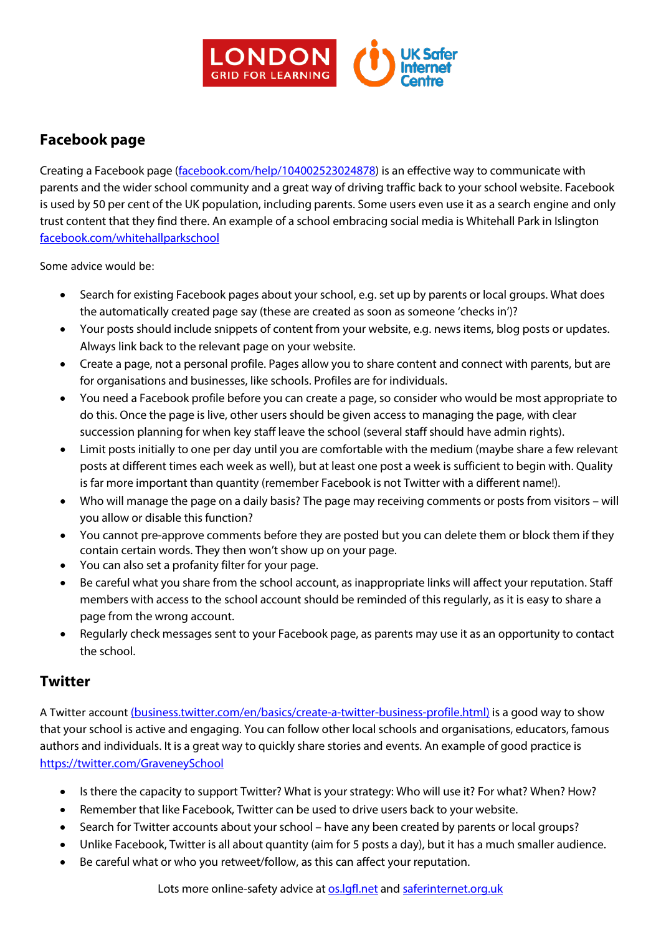

# **Facebook page**

Creating a Facebook page [\(facebook.com/help/104002523024878\)](https://www.facebook.com/help/104002523024878) is an effective way to communicate with parents and the wider school community and a great way of driving traffic back to your school website. Facebook is used by 50 per cent of the UK population, including parents. Some users even use it as a search engine and only trust content that they find there. An example of a school embracing social media is Whitehall Park in Islington [facebook.com/whitehallparkschool](http://www.facebook.com/whitehallparkschool.)

Some advice would be:

- Search for existing Facebook pages about your school, e.g. set up by parents or local groups. What does the automatically created page say (these are created as soon as someone 'checks in')?
- Your posts should include snippets of content from your website, e.g. news items, blog posts or updates. Always link back to the relevant page on your website.
- Create a page, not a personal profile. Pages allow you to share content and connect with parents, but are for organisations and businesses, like schools. Profiles are for individuals.
- You need a Facebook profile before you can create a page, so consider who would be most appropriate to do this. Once the page is live, other users should be given access to managing the page, with clear succession planning for when key staff leave the school (several staff should have admin rights).
- Limit posts initially to one per day until you are comfortable with the medium (maybe share a few relevant posts at different times each week as well), but at least one post a week is sufficient to begin with. Quality is far more important than quantity (remember Facebook is not Twitter with a different name!).
- Who will manage the page on a daily basis? The page may receiving comments or posts from visitors will you allow or disable this function?
- You cannot pre-approve comments before they are posted but you can delete them or block them if they contain certain words. They then won't show up on your page.
- You can also set a profanity filter for your page.
- Be careful what you share from the school account, as inappropriate links will affect your reputation. Staff members with access to the school account should be reminded of this regularly, as it is easy to share a page from the wrong account.
- Regularly check messages sent to your Facebook page, as parents may use it as an opportunity to contact the school.

### **Twitter**

A Twitter account [\(business.twitter.com/en/basics/create-a-twitter-business-profile.html\)](https://business.twitter.com/en/basics/create-a-twitter-business-profile.html) is a good way to show that your school is active and engaging. You can follow other local schools and organisations, educators, famous authors and individuals. It is a great way to quickly share stories and events. An example of good practice is <https://twitter.com/GraveneySchool>

- Is there the capacity to support Twitter? What is your strategy: Who will use it? For what? When? How?
- Remember that like Facebook, Twitter can be used to drive users back to your website.
- Search for Twitter accounts about your school have any been created by parents or local groups?
- Unlike Facebook, Twitter is all about quantity (aim for 5 posts a day), but it has a much smaller audience.
- Be careful what or who you retweet/follow, as this can affect your reputation.